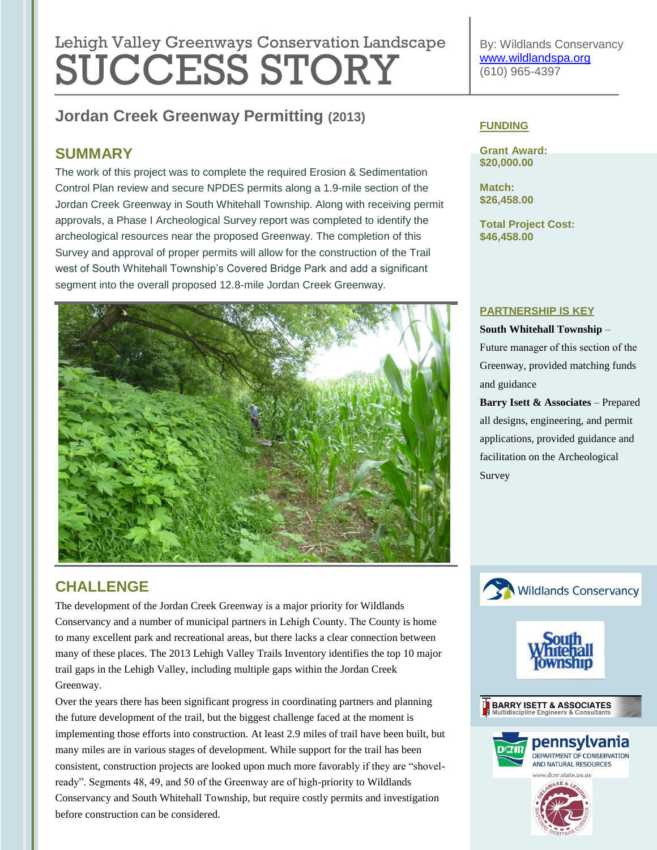# Lehigh Valley Greenways Conservation Landscape SUCCESS STORY

**Jordan Creek Greenway Permitting (2013)**

### **SUMMARY**

The work of this project was to complete the required Erosion & Sedimentation Control Plan review and secure NPDES permits along a 1.9-mile section of the Jordan Creek Greenway in South Whitehall Township. Along with receiving permit approvals, a Phase I Archeological Survey report was completed to identify the archeological resources near the proposed Greenway. The completion of this Survey and approval of proper permits will allow for the construction of the Trail west of South Whitehall Township's Covered Bridge Park and add a significant segment into the overall proposed 12.8-mile Jordan Creek Greenway.



## **CHALLENGE**

The development of the Jordan Creek Greenway is a major priority for Wildlands Conservancy and a number of municipal partners in Lehigh County. The County is home to many excellent park and recreational areas, but there lacks a clear connection between many of these places. The 2013 Lehigh Valley Trails Inventory identifies the top 10 major trail gaps in the Lehigh Valley, including multiple gaps within the Jordan Creek Greenway.

Over the years there has been significant progress in coordinating partners and planning the future development of the trail, but the biggest challenge faced at the moment is implementing those efforts into construction. At least 2.9 miles of trail have been built, but many miles are in various stages of development. While support for the trail has been consistent, construction projects are looked upon much more favorably if they are "shovelready". Segments 48, 49, and 50 of the Greenway are of high-priority to Wildlands Conservancy and South Whitehall Township, but require costly permits and investigation before construction can be considered.

By: Wildlands Conservancy [www.wildlandspa.org](http://www.wildlandspa.org/) (610) 965-4397

#### **FUNDING**

**Grant Award: \$20,000.00**

**Match: \$26,458.00**

**Total Project Cost: \$46,458.00**

#### **PARTNERSHIP IS KEY**

#### **South Whitehall Township** –

Future manager of this section of the Greenway, provided matching funds and guidance

**Barry Isett & Associates** – Prepared all designs, engineering, and permit applications, provided guidance and facilitation on the Archeological Survey





**BARRY ISETT & ASSOCIATES**